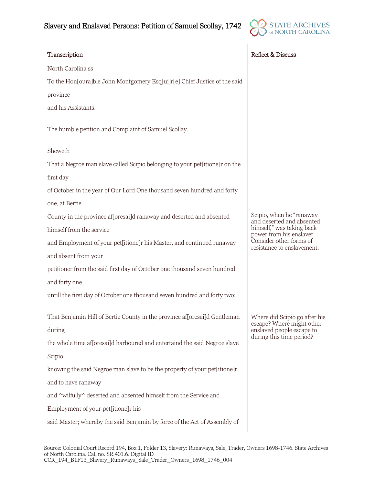

| Transcription                                                               | Reflect & Discuss                                                                                                                                                       |
|-----------------------------------------------------------------------------|-------------------------------------------------------------------------------------------------------------------------------------------------------------------------|
| North Carolina ss                                                           |                                                                                                                                                                         |
| To the Hon[oura]ble John Montgomery Esq[ui]r[e] Chief Justice of the said   |                                                                                                                                                                         |
| province                                                                    |                                                                                                                                                                         |
| and his Assistants.                                                         |                                                                                                                                                                         |
| The humble petition and Complaint of Samuel Scollay.                        |                                                                                                                                                                         |
| Sheweth                                                                     |                                                                                                                                                                         |
| That a Negroe man slave called Scipio belonging to your pet[itione]r on the |                                                                                                                                                                         |
| first day                                                                   |                                                                                                                                                                         |
| of October in the year of Our Lord One thousand seven hundred and forty     |                                                                                                                                                                         |
| one, at Bertie                                                              |                                                                                                                                                                         |
| County in the province af[oresai]d ranaway and deserted and absented        | Scipio, when he "ranaway<br>and deserted and absented<br>himself," was taking back<br>power from his enslaver.<br>Consider other forms of<br>resistance to enslavement. |
| himself from the service                                                    |                                                                                                                                                                         |
| and Employment of your pet[itione]r his Master, and continued runaway       |                                                                                                                                                                         |
| and absent from your                                                        |                                                                                                                                                                         |
| petitioner from the said first day of October one thousand seven hundred    |                                                                                                                                                                         |
| and forty one                                                               |                                                                                                                                                                         |
| untill the first day of October one thousand seven hundred and forty two:   |                                                                                                                                                                         |
| That Benjamin Hill of Bertie County in the province af[oresai]d Gentleman   | Where did Scipio go after his<br>escape? Where might other<br>enslaved people escape to<br>during this time period?                                                     |
| during                                                                      |                                                                                                                                                                         |
| the whole time af[oresai]d harboured and entertaind the said Negroe slave   |                                                                                                                                                                         |
| Scipio                                                                      |                                                                                                                                                                         |
| knowing the said Negroe man slave to be the property of your pet[itione]r   |                                                                                                                                                                         |
| and to have ranaway                                                         |                                                                                                                                                                         |
| and ^wilfully^ deserted and absented himself from the Service and           |                                                                                                                                                                         |
| Employment of your pet[itione]r his                                         |                                                                                                                                                                         |
| said Master; whereby the said Benjamin by force of the Act of Assembly of   |                                                                                                                                                                         |
|                                                                             |                                                                                                                                                                         |